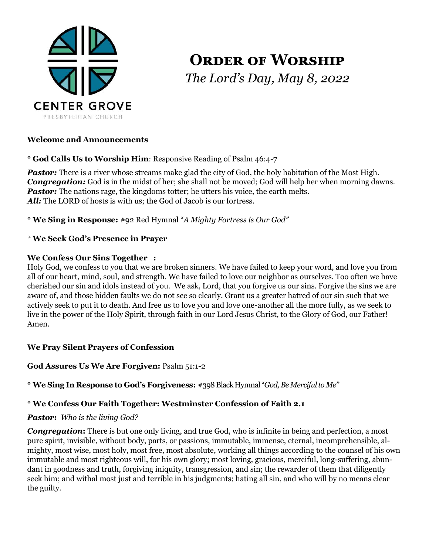

# **Order of Worship** *The Lord's Day, May 8, 2022*

## **Welcome and Announcements**

\* **God Calls Us to Worship Him**: Responsive Reading of Psalm 46:4-7

Pastor: There is a river whose streams make glad the city of God, the holy habitation of the Most High. *Congregation:* God is in the midst of her; she shall not be moved; God will help her when morning dawns. *Pastor:* The nations rage, the kingdoms totter; he utters his voice, the earth melts. All: The LORD of hosts is with us; the God of Jacob is our fortress.

\* **We Sing in Response:** #92 Red Hymnal "*A Mighty Fortress is Our God"*

#### *\** **We Seek God's Presence in Prayer**

#### **We Confess Our Sins Together :**

Holy God, we confess to you that we are broken sinners. We have failed to keep your word, and love you from all of our heart, mind, soul, and strength. We have failed to love our neighbor as ourselves. Too often we have cherished our sin and idols instead of you. We ask, Lord, that you forgive us our sins. Forgive the sins we are aware of, and those hidden faults we do not see so clearly. Grant us a greater hatred of our sin such that we actively seek to put it to death. And free us to love you and love one-another all the more fully, as we seek to live in the power of the Holy Spirit, through faith in our Lord Jesus Christ, to the Glory of God, our Father! Amen.

#### **We Pray Silent Prayers of Confession**

#### **God Assures Us We Are Forgiven:** Psalm 51:1-2

\* **We Sing In Response to God's Forgiveness:** #398 Black Hymnal "*God, Be Merciful to Me"*

## \* **We Confess Our Faith Together: Westminster Confession of Faith 2.1**

#### *Pastor***:** *Who is the living God?*

**Congregation:** There is but one only living, and true God, who is infinite in being and perfection, a most pure spirit, invisible, without body, parts, or passions, immutable, immense, eternal, incomprehensible, almighty, most wise, most holy, most free, most absolute, working all things according to the counsel of his own immutable and most righteous will, for his own glory; most loving, gracious, merciful, long-suffering, abundant in goodness and truth, forgiving iniquity, transgression, and sin; the rewarder of them that diligently seek him; and withal most just and terrible in his judgments; hating all sin, and who will by no means clear the guilty.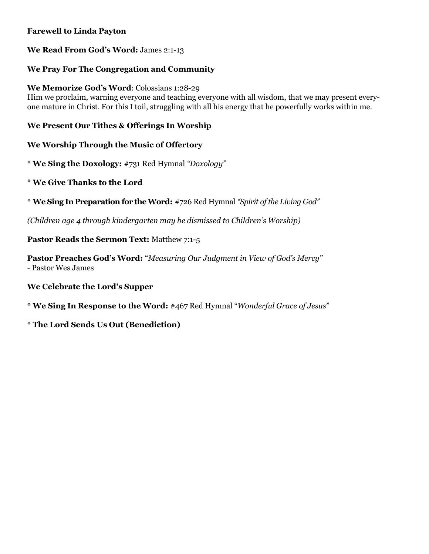## **Farewell to Linda Payton**

## **We Read From God's Word:** James 2:1-13

## **We Pray For The Congregation and Community**

**We Memorize God's Word**: Colossians 1:28-29 Him we proclaim, warning everyone and teaching everyone with all wisdom, that we may present everyone mature in Christ. For this I toil, struggling with all his energy that he powerfully works within me.

## **We Present Our Tithes & Offerings In Worship**

## **We Worship Through the Music of Offertory**

\* **We Sing the Doxology:** #731 Red Hymnal *"Doxology"*

\* **We Give Thanks to the Lord**

\* **We Sing In Preparation for the Word:** #726 Red Hymnal *"Spirit of the Living God"*

*(Children age 4 through kindergarten may be dismissed to Children's Worship)*

## **Pastor Reads the Sermon Text:** Matthew 7:1-5

**Pastor Preaches God's Word:** "*Measuring Our Judgment in View of God's Mercy" -* Pastor Wes James

## **We Celebrate the Lord's Supper**

\* **We Sing In Response to the Word:** #467 Red Hymnal "*Wonderful Grace of Jesus*"

## \* **The Lord Sends Us Out (Benediction)**